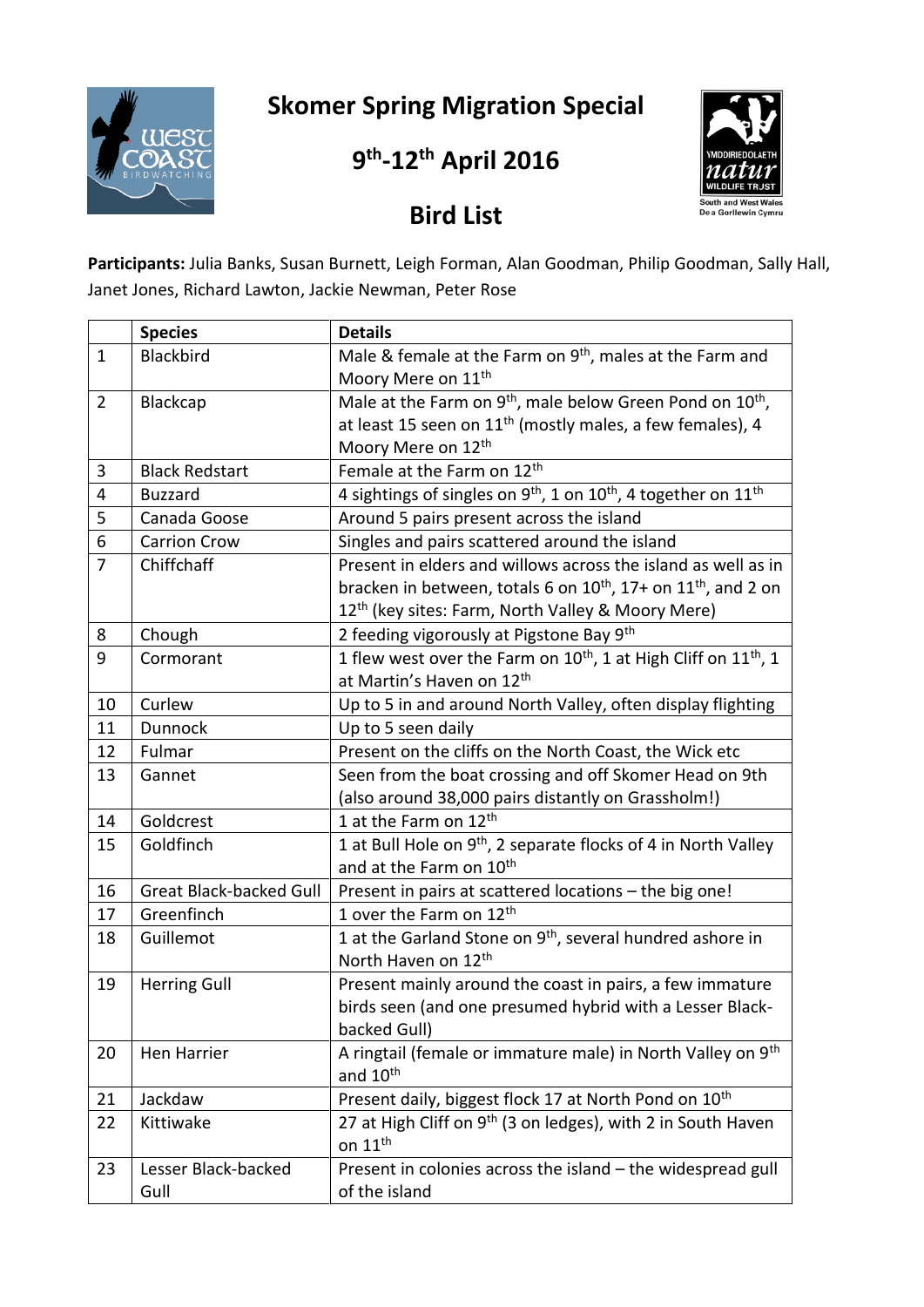**Skomer Spring Migration Special**



**9 th -12 th April 2016**



**Bird List**

**Participants:** Julia Banks, Susan Burnett, Leigh Forman, Alan Goodman, Philip Goodman, Sally Hall, Janet Jones, Richard Lawton, Jackie Newman, Peter Rose

|                | <b>Species</b>                 | <b>Details</b>                                                                        |
|----------------|--------------------------------|---------------------------------------------------------------------------------------|
| $\mathbf{1}$   | Blackbird                      | Male & female at the Farm on 9 <sup>th</sup> , males at the Farm and                  |
|                |                                | Moory Mere on 11 <sup>th</sup>                                                        |
| $\overline{2}$ | Blackcap                       | Male at the Farm on 9 <sup>th</sup> , male below Green Pond on 10 <sup>th</sup> ,     |
|                |                                | at least 15 seen on $11^{th}$ (mostly males, a few females), 4                        |
|                |                                | Moory Mere on 12 <sup>th</sup>                                                        |
| 3              | <b>Black Redstart</b>          | Female at the Farm on 12 <sup>th</sup>                                                |
| 4              | <b>Buzzard</b>                 | 4 sightings of singles on $9^{th}$ , 1 on $10^{th}$ , 4 together on $11^{th}$         |
| 5              | Canada Goose                   | Around 5 pairs present across the island                                              |
| 6              | <b>Carrion Crow</b>            | Singles and pairs scattered around the island                                         |
| 7              | Chiffchaff                     | Present in elders and willows across the island as well as in                         |
|                |                                | bracken in between, totals 6 on 10 <sup>th</sup> , 17+ on 11 <sup>th</sup> , and 2 on |
|                |                                | 12 <sup>th</sup> (key sites: Farm, North Valley & Moory Mere)                         |
| 8              | Chough                         | 2 feeding vigorously at Pigstone Bay 9th                                              |
| 9              | Cormorant                      | 1 flew west over the Farm on $10^{th}$ , 1 at High Cliff on $11^{th}$ , 1             |
|                |                                | at Martin's Haven on 12th                                                             |
| 10             | Curlew                         | Up to 5 in and around North Valley, often display flighting                           |
| 11             | Dunnock                        | Up to 5 seen daily                                                                    |
| 12             | Fulmar                         | Present on the cliffs on the North Coast, the Wick etc                                |
| 13             | Gannet                         | Seen from the boat crossing and off Skomer Head on 9th                                |
|                |                                | (also around 38,000 pairs distantly on Grassholm!)                                    |
| 14             | Goldcrest                      | 1 at the Farm on 12 <sup>th</sup>                                                     |
| 15             | Goldfinch                      | 1 at Bull Hole on $9th$ , 2 separate flocks of 4 in North Valley                      |
|                |                                | and at the Farm on 10 <sup>th</sup>                                                   |
| 16             | <b>Great Black-backed Gull</b> | Present in pairs at scattered locations - the big one!                                |
| 17             | Greenfinch                     | 1 over the Farm on 12 <sup>th</sup>                                                   |
| 18             | Guillemot                      | 1 at the Garland Stone on 9 <sup>th</sup> , several hundred ashore in                 |
|                |                                | North Haven on 12 <sup>th</sup>                                                       |
| 19             | <b>Herring Gull</b>            | Present mainly around the coast in pairs, a few immature                              |
|                |                                | birds seen (and one presumed hybrid with a Lesser Black-                              |
|                |                                | backed Gull)                                                                          |
| 20             | Hen Harrier                    | A ringtail (female or immature male) in North Valley on 9 <sup>th</sup>               |
|                |                                | and 10 <sup>th</sup>                                                                  |
| 21             | Jackdaw                        | Present daily, biggest flock 17 at North Pond on 10 <sup>th</sup>                     |
| 22             | Kittiwake                      | 27 at High Cliff on 9 <sup>th</sup> (3 on ledges), with 2 in South Haven              |
|                |                                | on $11th$                                                                             |
| 23             | Lesser Black-backed            | Present in colonies across the island - the widespread gull                           |
|                | Gull                           | of the island                                                                         |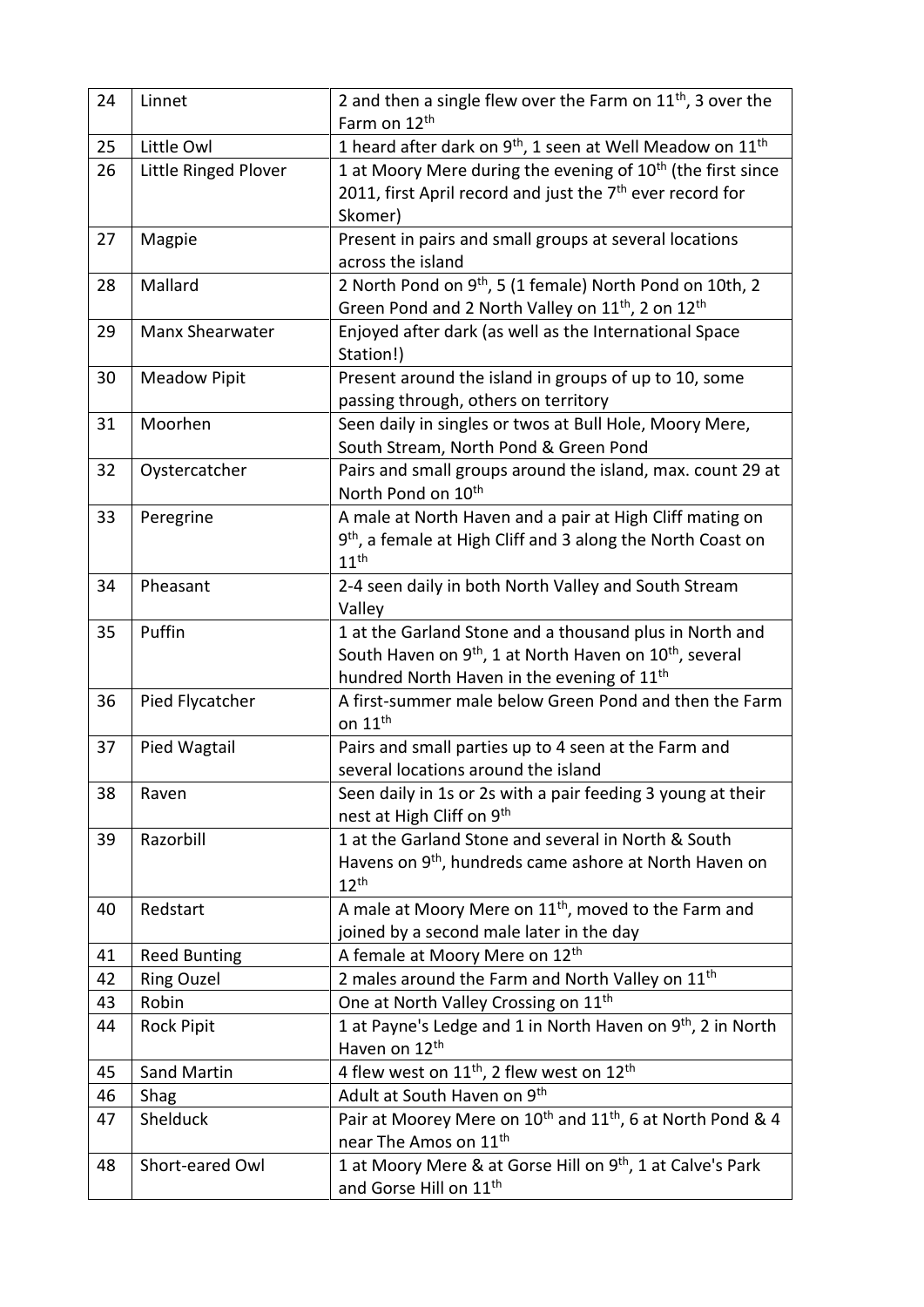| 24 | Linnet               | 2 and then a single flew over the Farm on $11th$ , 3 over the<br>Farm on 12 <sup>th</sup>   |
|----|----------------------|---------------------------------------------------------------------------------------------|
| 25 | Little Owl           | 1 heard after dark on 9 <sup>th</sup> , 1 seen at Well Meadow on 11 <sup>th</sup>           |
| 26 | Little Ringed Plover | 1 at Moory Mere during the evening of $10th$ (the first since                               |
|    |                      | 2011, first April record and just the 7 <sup>th</sup> ever record for                       |
|    |                      | Skomer)                                                                                     |
| 27 | Magpie               | Present in pairs and small groups at several locations                                      |
|    |                      | across the island                                                                           |
| 28 | Mallard              | 2 North Pond on 9 <sup>th</sup> , 5 (1 female) North Pond on 10th, 2                        |
|    |                      | Green Pond and 2 North Valley on 11 <sup>th</sup> , 2 on 12 <sup>th</sup>                   |
| 29 | Manx Shearwater      | Enjoyed after dark (as well as the International Space                                      |
|    |                      | Station!)                                                                                   |
| 30 | <b>Meadow Pipit</b>  | Present around the island in groups of up to 10, some                                       |
|    |                      | passing through, others on territory                                                        |
| 31 | Moorhen              | Seen daily in singles or twos at Bull Hole, Moory Mere,                                     |
|    |                      | South Stream, North Pond & Green Pond                                                       |
| 32 | Oystercatcher        | Pairs and small groups around the island, max. count 29 at                                  |
|    |                      | North Pond on 10 <sup>th</sup>                                                              |
| 33 | Peregrine            | A male at North Haven and a pair at High Cliff mating on                                    |
|    |                      | 9 <sup>th</sup> , a female at High Cliff and 3 along the North Coast on                     |
|    |                      | 11 <sup>th</sup>                                                                            |
| 34 | Pheasant             | 2-4 seen daily in both North Valley and South Stream                                        |
|    |                      | Valley                                                                                      |
| 35 | Puffin               | 1 at the Garland Stone and a thousand plus in North and                                     |
|    |                      | South Haven on 9 <sup>th</sup> , 1 at North Haven on 10 <sup>th</sup> , several             |
|    |                      | hundred North Haven in the evening of 11 <sup>th</sup>                                      |
| 36 | Pied Flycatcher      | A first-summer male below Green Pond and then the Farm<br>on $11th$                         |
| 37 |                      |                                                                                             |
|    | Pied Wagtail         | Pairs and small parties up to 4 seen at the Farm and<br>several locations around the island |
| 38 | Raven                | Seen daily in 1s or 2s with a pair feeding 3 young at their                                 |
|    |                      | nest at High Cliff on 9th                                                                   |
| 39 | Razorbill            | 1 at the Garland Stone and several in North & South                                         |
|    |                      | Havens on 9 <sup>th</sup> , hundreds came ashore at North Haven on                          |
|    |                      | $12^{th}$                                                                                   |
| 40 | Redstart             | A male at Moory Mere on 11 <sup>th</sup> , moved to the Farm and                            |
|    |                      | joined by a second male later in the day                                                    |
| 41 | <b>Reed Bunting</b>  | A female at Moory Mere on 12th                                                              |
| 42 | <b>Ring Ouzel</b>    | 2 males around the Farm and North Valley on 11 <sup>th</sup>                                |
| 43 | Robin                | One at North Valley Crossing on 11 <sup>th</sup>                                            |
| 44 | <b>Rock Pipit</b>    | 1 at Payne's Ledge and 1 in North Haven on 9 <sup>th</sup> , 2 in North                     |
|    |                      | Haven on 12th                                                                               |
| 45 | <b>Sand Martin</b>   | 4 flew west on $11^{th}$ , 2 flew west on $12^{th}$                                         |
| 46 | Shag                 | Adult at South Haven on 9th                                                                 |
| 47 | Shelduck             | Pair at Moorey Mere on 10 <sup>th</sup> and 11 <sup>th</sup> , 6 at North Pond & 4          |
|    |                      | near The Amos on 11 <sup>th</sup>                                                           |
| 48 | Short-eared Owl      | 1 at Moory Mere & at Gorse Hill on 9 <sup>th</sup> , 1 at Calve's Park                      |
|    |                      | and Gorse Hill on 11 <sup>th</sup>                                                          |